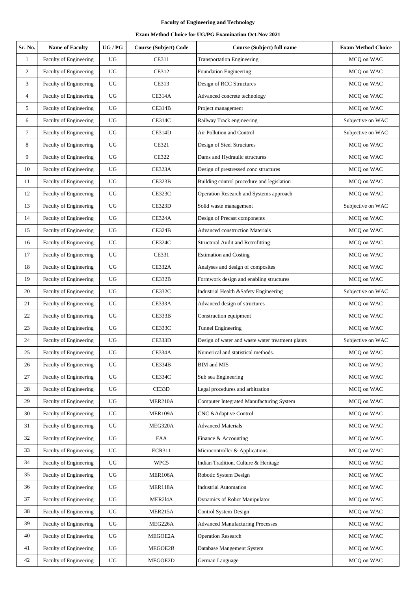| Sr. No.         | <b>Name of Faculty</b>        | $\,$ UG / PG     | <b>Course (Subject) Code</b> | Course (Subject) full name                       | <b>Exam Method Choice</b> |
|-----------------|-------------------------------|------------------|------------------------------|--------------------------------------------------|---------------------------|
| $\mathbf{1}$    | Faculty of Engineering        | UG               | <b>CE311</b>                 | <b>Transportation Engineering</b>                | MCQ on WAC                |
| $\overline{2}$  | Faculty of Engineering        | UG               | CE312                        | <b>Foundation Engineering</b>                    | MCQ on WAC                |
| 3               | Faculty of Engineering        | UG               | <b>CE313</b>                 | Design of RCC Structures                         | MCQ on WAC                |
| 4               | Faculty of Engineering        | UG               | <b>CE314A</b>                | Advanced concrete technology                     | MCQ on WAC                |
| 5               | Faculty of Engineering        | UG               | <b>CE314B</b>                | Project management                               | MCQ on WAC                |
| 6               | Faculty of Engineering        | UG               | <b>CE314C</b>                | Railway Track engineering                        | Subjective on WAC         |
| $7\phantom{.0}$ | Faculty of Engineering        | <b>UG</b>        | <b>CE314D</b>                | Air Pollution and Control                        | Subjective on WAC         |
| 8               | Faculty of Engineering        | UG               | CE321                        | Design of Steel Structures                       | MCQ on WAC                |
| 9               | Faculty of Engineering        | UG               | <b>CE322</b>                 | Dams and Hydraulic structures                    | MCQ on WAC                |
| 10              | Faculty of Engineering        | UG               | CE323A                       | Design of prestressed conc structures            | MCQ on WAC                |
| 11              | <b>Faculty of Engineering</b> | UG               | CE323B                       | Building control procedure and legislation       | MCQ on WAC                |
| 12              | Faculty of Engineering        | UG               | <b>CE323C</b>                | Operation Research and Systems approach          | MCQ on WAC                |
| 13              | <b>Faculty of Engineering</b> | UG               | CE323D                       | Solid waste management                           | Subjective on WAC         |
| 14              | Faculty of Engineering        | UG               | <b>CE324A</b>                | Design of Precast components                     | MCQ on WAC                |
| 15              | Faculty of Engineering        | UG               | <b>CE324B</b>                | <b>Advanced construction Materials</b>           | MCQ on WAC                |
| 16              | Faculty of Engineering        | UG               | CE324C                       | <b>Structural Audit and Retrofitting</b>         | MCQ on WAC                |
| 17              | Faculty of Engineering        | UG               | CE331                        | <b>Estimation and Costing</b>                    | MCQ on WAC                |
| 18              | Faculty of Engineering        | UG               | <b>CE332A</b>                | Analyses and design of composites                | MCQ on WAC                |
| 19              | Faculty of Engineering        | UG               | CE332B                       | Formwork design and enabling structures          | MCQ on WAC                |
| 20              | Faculty of Engineering        | UG               | <b>CE332C</b>                | Industrial Health &Safety Engineering            | Subjective on WAC         |
| 21              | Faculty of Engineering        | UG               | CE333A                       | Advanced design of structures                    | MCQ on WAC                |
| 22              | Faculty of Engineering        | UG               | CE333B                       | Construction equipment                           | MCQ on WAC                |
| 23              | Faculty of Engineering        | UG               | <b>CE333C</b>                | Tunnel Engineering                               | MCQ on WAC                |
| 24              | Faculty of Engineering        | UG               | CE333D                       | Design of water and waste water treatment plants | Subjective on WAC         |
| 25              | Faculty of Engineering        | UG               | <b>CE334A</b>                | Numerical and statistical methods.               | MCO on WAC                |
| 26              | Faculty of Engineering        | UG               | CE334B                       | BIM and MIS                                      | MCQ on WAC                |
| 27              | Faculty of Engineering        | UG               | <b>CE334C</b>                | Sub sea Engineering                              | MCQ on WAC                |
| 28              | Faculty of Engineering        | UG               | CE33D                        | Legal procedures and arbitration                 | MCQ on WAC                |
| 29              | Faculty of Engineering        | UG               | MER210A                      | Computer Integrated Manufacturing System         | MCQ on WAC                |
| 30              | Faculty of Engineering        | UG               | MER109A                      | CNC & Adaptive Control                           | MCQ on WAC                |
| 31              | Faculty of Engineering        | UG               | MEG320A                      | <b>Advanced Materials</b>                        | MCQ on WAC                |
| 32              | Faculty of Engineering        | UG               | FAA                          | Finance & Accounting                             | MCQ on WAC                |
| 33              | Faculty of Engineering        | UG               | <b>ECR311</b>                | Microcontroller & Applications                   | MCQ on WAC                |
| 34              | Faculty of Engineering        | UG               | WPC5                         | Indian Tradition, Culture & Heritage             | MCQ on WAC                |
| 35              | Faculty of Engineering        | UG               | MER106A                      | Robotic System Design                            | MCQ on WAC                |
| 36              | Faculty of Engineering        | UG               | MER118A                      | <b>Industrial Automation</b>                     | MCQ on WAC                |
| 37              | Faculty of Engineering        | UG               | MER214A                      | Dynamics of Robot Manipulator                    | MCQ on WAC                |
| 38              | Faculty of Engineering        | UG               | MER215A                      | Control System Design                            | MCQ on WAC                |
| 39              | Faculty of Engineering        | ${\rm U}{\rm G}$ | MEG226A                      | <b>Advanced Manufacturing Processes</b>          | MCQ on WAC                |
| 40              | Faculty of Engineering        | UG               | MEGOE2A                      | <b>Operation Research</b>                        | MCQ on WAC                |
| 41              | Faculty of Engineering        | UG               | MEGOE2B                      | Database Mangement System                        | MCQ on WAC                |
| 42              | Faculty of Engineering        | ${\rm U}{\rm G}$ | MEGOE2D                      | German Language                                  | MCQ on WAC                |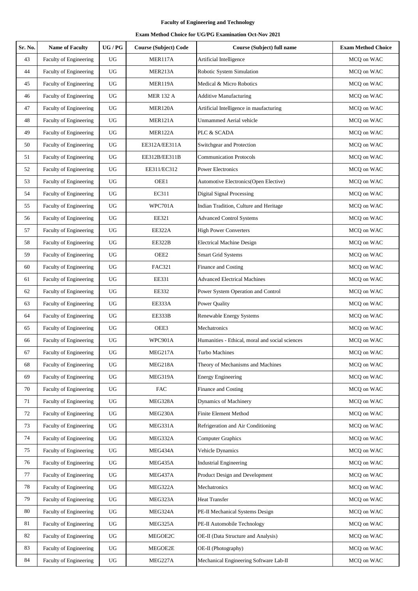| Sr. No. | <b>Name of Faculty</b>        | UG/PG       | <b>Course (Subject) Code</b> | Course (Subject) full name                      | <b>Exam Method Choice</b> |
|---------|-------------------------------|-------------|------------------------------|-------------------------------------------------|---------------------------|
| 43      | Faculty of Engineering        | UG          | MER117A                      | Artificial Intelligence                         | MCQ on WAC                |
| 44      | Faculty of Engineering        | UG          | MER213A                      | Robotic System Simulation                       | MCQ on WAC                |
| 45      | Faculty of Engineering        | $_{\rm UG}$ | MER119A                      | Medical & Micro Robotics                        | MCQ on WAC                |
| 46      | Faculty of Engineering        | UG          | <b>MER 132 A</b>             | <b>Additive Manufacturing</b>                   | MCQ on WAC                |
| 47      | Faculty of Engineering        | UG          | MER120A                      | Artificial Intelligence in maufacturing         | MCQ on WAC                |
| 48      | Faculty of Engineering        | <b>UG</b>   | MER121A                      | <b>Unmammed Aerial vehicle</b>                  | MCQ on WAC                |
| 49      | Faculty of Engineering        | $_{\rm UG}$ | MER122A                      | PLC & SCADA                                     | MCQ on WAC                |
| 50      | Faculty of Engineering        | $_{\rm UG}$ | EE312A/EE311A                | Switchgear and Protection                       | MCQ on WAC                |
| 51      | Faculty of Engineering        | UG          | EE312B/EE311B                | <b>Communication Protocols</b>                  | MCQ on WAC                |
| 52      | Faculty of Engineering        | UG          | EE311/EC312                  | <b>Power Electronics</b>                        | MCQ on WAC                |
| 53      | Faculty of Engineering        | UG          | OEE1                         | Automotive Electronics(Open Elective)           | MCQ on WAC                |
| 54      | Faculty of Engineering        | $_{\rm UG}$ | EC311                        | <b>Digital Signal Processing</b>                | MCQ on WAC                |
| 55      | Faculty of Engineering        | UG          | WPC701A                      | Indian Tradition, Culture and Heritage          | MCO on WAC                |
| 56      | Faculty of Engineering        | UG          | EE321                        | <b>Advanced Control Systems</b>                 | MCQ on WAC                |
| 57      | Faculty of Engineering        | UG          | <b>EE322A</b>                | <b>High Power Converters</b>                    | MCQ on WAC                |
| 58      | Faculty of Engineering        | $_{\rm UG}$ | EE322B                       | <b>Electrical Machine Design</b>                | MCQ on WAC                |
| 59      | Faculty of Engineering        | $_{\rm UG}$ | OEE2                         | Smart Grid Systems                              | MCQ on WAC                |
| 60      | Faculty of Engineering        | $_{\rm UG}$ | <b>FAC321</b>                | Finance and Costing                             | MCQ on WAC                |
| 61      | Faculty of Engineering        | $_{\rm UG}$ | EE331                        | <b>Advanced Electrical Machines</b>             | MCQ on WAC                |
| 62      | Faculty of Engineering        | UG          | EE332                        | Power System Operation and Control              | MCQ on WAC                |
| 63      | <b>Faculty of Engineering</b> | UG          | EE333A                       | Power Quality                                   | MCQ on WAC                |
| 64      | Faculty of Engineering        | UG          | EE333B                       | Renewable Energy Systems                        | MCQ on WAC                |
| 65      | <b>Faculty of Engineering</b> | $_{\rm UG}$ | OEE3                         | Mechatronics                                    | MCQ on WAC                |
| 66      | Faculty of Engineering        | UG          | WPC901A                      | Humanities - Ethical, moral and social sciences | MCQ on WAC                |
| 67      | Faculty of Engineering        | $_{\rm UG}$ | MEG217A                      | Turbo Machines                                  | MCQ on WAC                |
| 68      | <b>Faculty of Engineering</b> | UG          | MEG218A                      | Theory of Mechanisms and Machines               | MCQ on WAC                |
| 69      | Faculty of Engineering        | $_{\rm UG}$ | MEG319A                      | <b>Energy Engineering</b>                       | MCQ on WAC                |
| 70      | Faculty of Engineering        | UG          | FAC                          | Finance and Costing                             | MCQ on WAC                |
| 71      | Faculty of Engineering        | $_{\rm UG}$ | MEG328A                      | Dynamics of Machinery                           | MCQ on WAC                |
| 72      | Faculty of Engineering        | UG          | MEG230A                      | Finite Element Method                           | MCQ on WAC                |
| 73      | <b>Faculty of Engineering</b> | $_{\rm UG}$ | MEG331A                      | Refrigeration and Air Conditioning              | MCQ on WAC                |
| 74      | Faculty of Engineering        | $_{\rm UG}$ | MEG332A                      | <b>Computer Graphics</b>                        | MCQ on WAC                |
| 75      | Faculty of Engineering        | UG          | MEG434A                      | Vehicle Dynamics                                | MCQ on WAC                |
| 76      | Faculty of Engineering        | $_{\rm UG}$ | MEG435A                      | <b>Industrial Engineering</b>                   | MCQ on WAC                |
| 77      | Faculty of Engineering        | $_{\rm UG}$ | MEG437A                      | Product Design and Development                  | MCQ on WAC                |
| 78      | Faculty of Engineering        | $_{\rm UG}$ | MEG322A                      | Mechatronics                                    | MCQ on WAC                |
| 79      | Faculty of Engineering        | $_{\rm UG}$ | MEG323A                      | Heat Transfer                                   | MCQ on WAC                |
| 80      | Faculty of Engineering        | UG          | MEG324A                      | PE-II Mechanical Systems Design                 | MCQ on WAC                |
| 81      | Faculty of Engineering        | $_{\rm UG}$ | MEG325A                      | PE-II Automobile Technology                     | MCQ on WAC                |
| 82      | Faculty of Engineering        | UG          | MEGOE2C                      | OE-II (Data Structure and Analysis)             | MCQ on WAC                |
| 83      | Faculty of Engineering        | $_{\rm UG}$ | MEGOE2E                      | OE-II (Photography)                             | MCQ on WAC                |
| 84      | Faculty of Engineering        | $_{\rm UG}$ | MEG227A                      | Mechanical Engineering Software Lab-II          | MCQ on WAC                |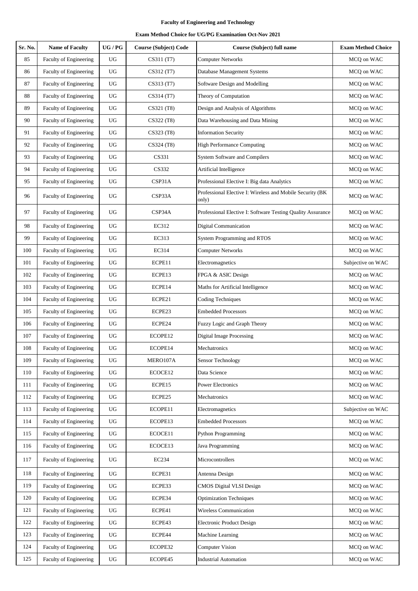| Sr. No. | <b>Name of Faculty</b>        | UG/PG            | <b>Course (Subject) Code</b> | Course (Subject) full name                                         | <b>Exam Method Choice</b> |
|---------|-------------------------------|------------------|------------------------------|--------------------------------------------------------------------|---------------------------|
| 85      | Faculty of Engineering        | UG               | CS311 (T7)                   | <b>Computer Networks</b>                                           | MCQ on WAC                |
| 86      | Faculty of Engineering        | UG               | CS312 (T7)                   | Database Management Systems                                        | MCQ on WAC                |
| 87      | Faculty of Engineering        | UG               | CS313 (T7)                   | Software Design and Modelling                                      | MCQ on WAC                |
| 88      | Faculty of Engineering        | UG               | CS314 (T7)                   | Theory of Computation                                              | MCQ on WAC                |
| 89      | Faculty of Engineering        | UG               | CS321 (T8)                   | Design and Analysis of Algorithms                                  | MCQ on WAC                |
| 90      | Faculty of Engineering        | UG               | CS322 (T8)                   | Data Warehousing and Data Mining                                   | MCQ on WAC                |
| 91      | Faculty of Engineering        | <b>UG</b>        | CS323 (T8)                   | <b>Information Security</b>                                        | MCQ on WAC                |
| 92      | Faculty of Engineering        | UG               | CS324 (T8)                   | <b>High Performance Computing</b>                                  | MCQ on WAC                |
| 93      | Faculty of Engineering        | UG               | CS331                        | <b>System Software and Compilers</b>                               | MCQ on WAC                |
| 94      | Faculty of Engineering        | $_{\rm UG}$      | CS332                        | Artificial Intelligence                                            | MCQ on WAC                |
| 95      | Faculty of Engineering        | UG               | CSP31A                       | Professional Elective I: Big data Analytics                        | MCQ on WAC                |
| 96      | Faculty of Engineering        | UG               | CSP33A                       | Professional Elective I: Wireless and Mobile Security (BK<br>only) | MCQ on WAC                |
| 97      | Faculty of Engineering        | UG               | CSP34A                       | Professional Elective I: Software Testing Quality Assurance        | MCQ on WAC                |
| 98      | Faculty of Engineering        | <b>UG</b>        | EC312                        | <b>Digital Communication</b>                                       | MCQ on WAC                |
| 99      | Faculty of Engineering        | UG               | EC313                        | System Programming and RTOS                                        | MCQ on WAC                |
| 100     | Faculty of Engineering        | <b>UG</b>        | EC314                        | <b>Computer Networks</b>                                           | MCQ on WAC                |
| 101     | Faculty of Engineering        | UG               | ECPE11                       | Electromagnetics                                                   | Subjective on WAC         |
| 102     | Faculty of Engineering        | $_{\rm UG}$      | ECPE13                       | FPGA & ASIC Design                                                 | MCQ on WAC                |
| 103     | Faculty of Engineering        | $_{\rm UG}$      | ECPE14                       | Maths for Artificial Intelligence                                  | MCQ on WAC                |
| 104     | Faculty of Engineering        | UG               | ECPE21                       | <b>Coding Techniques</b>                                           | MCQ on WAC                |
| 105     | Faculty of Engineering        | UG               | ECPE23                       | <b>Embedded Processors</b>                                         | MCQ on WAC                |
| 106     | Faculty of Engineering        | UG               | ECPE24                       | Fuzzy Logic and Graph Theory                                       | MCQ on WAC                |
| 107     | Faculty of Engineering        | UG               | ECOPE12                      | <b>Digital Image Processing</b>                                    | MCQ on WAC                |
| 108     | Faculty of Engineering        | $_{\rm UG}$      | ECOPE14                      | Mechatronics                                                       | MCQ on WAC                |
| 109     | Faculty of Engineering        | UG               | MERO107A                     | <b>Sensor Technology</b>                                           | MCQ on WAC                |
| 110     | Faculty of Engineering        | ${\rm U}{\rm G}$ | ECOCE12                      | Data Science                                                       | MCQ on WAC                |
| 111     | Faculty of Engineering        | $_{\rm UG}$      | ECPE15                       | Power Electronics                                                  | MCQ on WAC                |
| 112     | Faculty of Engineering        | $_{\rm UG}$      | ECPE25                       | Mechatronics                                                       | MCQ on WAC                |
| 113     | Faculty of Engineering        | $_{\rm UG}$      | ECOPE11                      | Electromagnetics                                                   | Subjective on WAC         |
| 114     | <b>Faculty of Engineering</b> | UG               | ECOPE13                      | <b>Embedded Processors</b>                                         | MCQ on WAC                |
| 115     | <b>Faculty of Engineering</b> | $_{\rm UG}$      | ECOCE11                      | <b>Python Programming</b>                                          | MCQ on WAC                |
| 116     | Faculty of Engineering        | UG               | ECOCE13                      | Java Programming                                                   | MCQ on WAC                |
| 117     | Faculty of Engineering        | $_{\rm UG}$      | EC234                        | Microcontrollers                                                   | MCQ on WAC                |
| 118     | Faculty of Engineering        | <b>UG</b>        | ECPE31                       | Antenna Design                                                     | MCQ on WAC                |
| 119     | Faculty of Engineering        | $_{\rm UG}$      | ECPE33                       | CMOS Digital VLSI Design                                           | MCQ on WAC                |
| 120     | Faculty of Engineering        | $_{\rm UG}$      | ECPE34                       | <b>Optimization Techniques</b>                                     | MCQ on WAC                |
| 121     | Faculty of Engineering        | $_{\rm UG}$      | ECPE41                       | Wireless Communication                                             | MCQ on WAC                |
| 122     | Faculty of Engineering        | UG               | ECPE43                       | Electronic Product Design                                          | MCQ on WAC                |
| 123     | Faculty of Engineering        | UG               | ECPE44                       | Machine Learning                                                   | MCQ on WAC                |
| 124     | Faculty of Engineering        | UG               | ECOPE32                      | <b>Computer Vision</b>                                             | MCQ on WAC                |
| 125     | Faculty of Engineering        | UG               | ECOPE45                      | <b>Industrial Automation</b>                                       | MCQ on WAC                |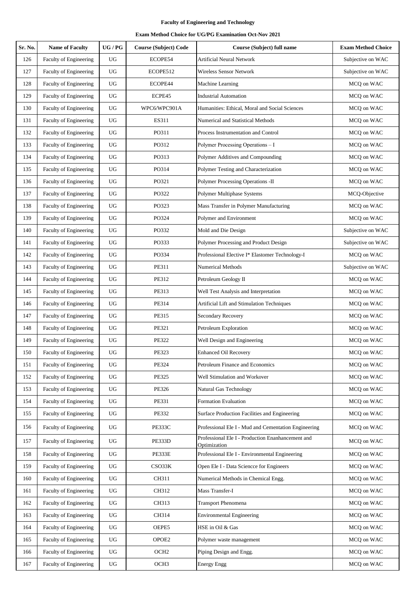| Sr. No. | <b>Name of Faculty</b>        | UG/PG            | <b>Course (Subject) Code</b> | <b>Course (Subject) full name</b>                                 | <b>Exam Method Choice</b> |
|---------|-------------------------------|------------------|------------------------------|-------------------------------------------------------------------|---------------------------|
| 126     | Faculty of Engineering        | UG               | ECOPE54                      | <b>Artificial Neural Network</b>                                  | Subjective on WAC         |
| 127     | Faculty of Engineering        | UG               | ECOPE512                     | Wireless Sensor Network                                           | Subjective on WAC         |
| 128     | <b>Faculty of Engineering</b> | UG               | ECOPE44                      | Machine Learning                                                  | MCQ on WAC                |
| 129     | Faculty of Engineering        | UG               | ECPE45                       | <b>Industrial Automation</b>                                      | MCQ on WAC                |
| 130     | Faculty of Engineering        | UG               | WPC6/WPC901A                 | Humanities: Ethical, Moral and Social Sciences                    | MCQ on WAC                |
| 131     | Faculty of Engineering        | UG               | ES311                        | Numerical and Statistical Methods                                 | MCQ on WAC                |
| 132     | Faculty of Engineering        | UG               | PO311                        | Process Instrumentation and Control                               | MCQ on WAC                |
| 133     | Faculty of Engineering        | UG               | PO312                        | Polymer Processing Operations - I                                 | MCQ on WAC                |
| 134     | Faculty of Engineering        | UG               | PO313                        | Polymer Additives and Compounding                                 | MCQ on WAC                |
| 135     | Faculty of Engineering        | UG               | PO314                        | Polymer Testing and Characterization                              | MCQ on WAC                |
| 136     | <b>Faculty of Engineering</b> | UG               | PO321                        | Polymer Processing Operations -II                                 | MCQ on WAC                |
| 137     | Faculty of Engineering        | UG               | PO322                        | Polymer Multiphase Systems                                        | MCQ-Objective             |
| 138     | Faculty of Engineering        | UG               | PO323                        | Mass Transfer in Polymer Manufacturing                            | MCQ on WAC                |
| 139     | <b>Faculty of Engineering</b> | UG               | PO324                        | Polymer and Environment                                           | MCQ on WAC                |
| 140     | Faculty of Engineering        | UG               | PO332                        | Mold and Die Design                                               | Subjective on WAC         |
| 141     | Faculty of Engineering        | UG               | PO333                        | Polymer Processing and Product Design                             | Subjective on WAC         |
| 142     | Faculty of Engineering        | UG               | PO334                        | Professional Elective I* Elastomer Technology-I                   | MCQ on WAC                |
| 143     | Faculty of Engineering        | UG               | PE311                        | <b>Numerical Methods</b>                                          | Subjective on WAC         |
| 144     | Faculty of Engineering        | UG               | PE312                        | Petroleum Geology II                                              | MCQ on WAC                |
| 145     | Faculty of Engineering        | UG               | PE313                        | Well Test Analysis and Interpretation                             | MCQ on WAC                |
| 146     | Faculty of Engineering        | UG               | PE314                        | Artificial Lift and Stimulation Techniques                        | MCQ on WAC                |
| 147     | Faculty of Engineering        | UG               | PE315                        | Secondary Recovery                                                | MCQ on WAC                |
| 148     | Faculty of Engineering        | UG               | PE321                        | Petroleum Exploration                                             | MCQ on WAC                |
| 149     | Faculty of Engineering        | UG               | PE322                        | Well Design and Engineering                                       | MCQ on WAC                |
| 150     | <b>Faculty of Engineering</b> | UG               | PE323                        | <b>Enhanced Oil Recovery</b>                                      | MCQ on WAC                |
| 151     | Faculty of Engineering        | UG               | PE324                        | Petroleum Finance and Economics                                   | MCQ on WAC                |
| 152     | Faculty of Engineering        | UG               | <b>PE325</b>                 | Well Stimulation and Workover                                     | MCQ on WAC                |
| 153     | Faculty of Engineering        | UG               | PE326                        | Natural Gas Technology                                            | MCQ on WAC                |
| 154     | Faculty of Engineering        | UG               | PE331                        | Formation Evaluation                                              | MCQ on WAC                |
| 155     | Faculty of Engineering        | UG               | <b>PE332</b>                 | Surface Production Facilities and Engineering                     | MCQ on WAC                |
| 156     | Faculty of Engineering        | UG               | <b>PE333C</b>                | Professional Ele I - Mud and Cementation Engineering              | MCO on WAC                |
| 157     | Faculty of Engineering        | UG               | PE333D                       | Professional Ele I - Production Enanhancement and<br>Optimization | MCQ on WAC                |
| 158     | Faculty of Engineering        | UG               | PE333E                       | Professional Ele I - Environmental Engineering                    | MCQ on WAC                |
| 159     | Faculty of Engineering        | $_{\rm UG}$      | CSO33K                       | Open Ele I - Data Sciencce for Engineers                          | MCQ on WAC                |
| 160     | Faculty of Engineering        | $_{\rm UG}$      | CH311                        | Numerical Methods in Chemical Engg.                               | MCQ on WAC                |
| 161     | Faculty of Engineering        | UG               | CH312                        | Mass Transfer-I                                                   | MCQ on WAC                |
| 162     | Faculty of Engineering        | UG               | CH313                        | <b>Transport Phenomena</b>                                        | MCQ on WAC                |
| 163     | <b>Faculty of Engineering</b> | ${\rm U}{\rm G}$ | CH314                        | <b>Environmental Engineering</b>                                  | MCQ on WAC                |
| 164     | Faculty of Engineering        | UG               | OEPE5                        | HSE in Oil & Gas                                                  | MCQ on WAC                |
| 165     | Faculty of Engineering        | UG               | OPOE2                        | Polymer waste management                                          | MCQ on WAC                |
| 166     | Faculty of Engineering        | UG               | OCH <sub>2</sub>             | Piping Design and Engg.                                           | MCQ on WAC                |
| 167     | <b>Faculty of Engineering</b> | UG               | OCH <sub>3</sub>             | <b>Energy Engg</b>                                                | MCQ on WAC                |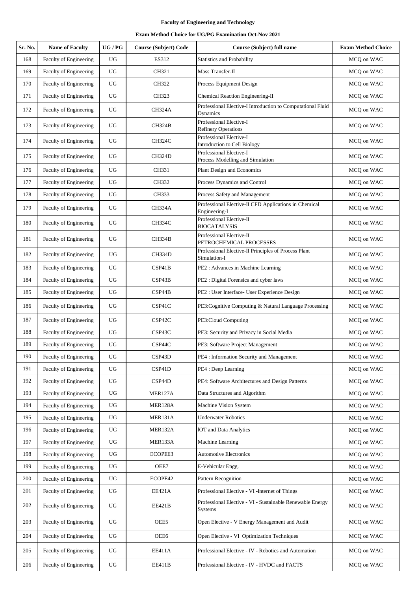| Sr. No. | <b>Name of Faculty</b>        | $\,$ UG / PG     | <b>Course (Subject) Code</b> | Course (Subject) full name                                              | <b>Exam Method Choice</b> |
|---------|-------------------------------|------------------|------------------------------|-------------------------------------------------------------------------|---------------------------|
| 168     | Faculty of Engineering        | <b>UG</b>        | ES312                        | Statistics and Probability                                              | MCQ on WAC                |
| 169     | Faculty of Engineering        | $_{\rm UG}$      | CH321                        | Mass Transfer-II                                                        | MCQ on WAC                |
| 170     | Faculty of Engineering        | <b>UG</b>        | CH322                        | Process Equipment Design                                                | MCQ on WAC                |
| 171     | Faculty of Engineering        | ${\rm U}{\rm G}$ | CH323                        | Chemical Reaction Engineering-II                                        | MCQ on WAC                |
| 172     | Faculty of Engineering        | $_{\rm UG}$      | CH324A                       | Professional Elective-I Introduction to Computational Fluid<br>Dynamics | MCQ on WAC                |
| 173     | Faculty of Engineering        | UG               | CH324B                       | Professional Elective-I<br><b>Refinery Operations</b>                   | MCQ on WAC                |
| 174     | Faculty of Engineering        | UG               | CH324C                       | Professional Elective-I<br>Introduction to Cell Biology                 | MCQ on WAC                |
| 175     | Faculty of Engineering        | $_{\rm UG}$      | CH324D                       | Professional Elective-I<br>Process Modelling and Simulation             | MCQ on WAC                |
| 176     | <b>Faculty of Engineering</b> | UG               | CH331                        | Plant Design and Economics                                              | MCQ on WAC                |
| 177     | Faculty of Engineering        | UG               | CH332                        | Process Dynamics and Control                                            | MCQ on WAC                |
| 178     | Faculty of Engineering        | UG               | CH333                        | Process Safety and Management                                           | MCQ on WAC                |
| 179     | Faculty of Engineering        | UG               | CH334A                       | Professional Elective-II CFD Applications in Chemical<br>Engineering-I  | MCQ on WAC                |
| 180     | Faculty of Engineering        | UG               | <b>CH334C</b>                | Professional Elective-II<br><b>BIOCATALYSIS</b>                         | MCQ on WAC                |
| 181     | Faculty of Engineering        | UG               | <b>CH334B</b>                | Professional Elective-II<br>PETROCHEMICAL PROCESSES                     | MCQ on WAC                |
| 182     | Faculty of Engineering        | UG               | <b>CH334D</b>                | Professional Elective-II Principles of Process Plant<br>Simulation-I    | MCQ on WAC                |
| 183     | Faculty of Engineering        | $_{\rm UG}$      | CSP41B                       | PE2 : Advances in Machine Learning                                      | MCQ on WAC                |
| 184     | Faculty of Engineering        | $_{\rm UG}$      | CSP43B                       | PE2: Digital Forensics and cyber laws                                   | MCQ on WAC                |
| 185     | Faculty of Engineering        | $_{\rm UG}$      | CSP44B                       | PE2 : User Interface- User Experience Design                            | MCQ on WAC                |
| 186     | Faculty of Engineering        | UG               | CSP41C                       | PE3:Cognitive Computing & Natural Language Processing                   | MCQ on WAC                |
| 187     | Faculty of Engineering        | <b>UG</b>        | CSP42C                       | PE3:Cloud Computing                                                     | MCQ on WAC                |
| 188     | <b>Faculty of Engineering</b> | UG               | CSP43C                       | PE3: Security and Privacy in Social Media                               | MCQ on WAC                |
| 189     | Faculty of Engineering        | $_{\rm UG}$      | CSP44C                       | PE3: Software Project Management                                        | MCQ on WAC                |
| 190     | Faculty of Engineering        | UG               | CSP43D                       | PE4 : Information Security and Management                               | MCQ on WAC                |
| 191     | Faculty of Engineering        | UG               | CSP41D                       | PE4 : Deep Learning                                                     | MCQ on WAC                |
| 192     | Faculty of Engineering        | $_{\rm UG}$      | CSP44D                       | PE4: Software Architectures and Design Patterns                         | MCQ on WAC                |
| 193     | Faculty of Engineering        | UG               | MER127A                      | Data Structures and Algorithm                                           | MCQ on WAC                |
| 194     | Faculty of Engineering        | UG               | MER128A                      | Machine Vision System                                                   | MCQ on WAC                |
| 195     | Faculty of Engineering        | UG               | MER131A                      | <b>Underwater Robotics</b>                                              | MCQ on WAC                |
| 196     | Faculty of Engineering        | UG               | MER132A                      | <b>IOT</b> and Data Analytics                                           | MCO on WAC                |
| 197     | Faculty of Engineering        | $_{\rm UG}$      | MER133A                      | Machine Learning                                                        | MCQ on WAC                |
| 198     | Faculty of Engineering        | UG               | ECOPE63                      | <b>Automotive Electronics</b>                                           | MCQ on WAC                |
| 199     | Faculty of Engineering        | $_{\rm UG}$      | OEE7                         | E-Vehicular Engg.                                                       | MCQ on WAC                |
| 200     | Faculty of Engineering        | UG               | ECOPE42                      | <b>Pattern Recognition</b>                                              | MCQ on WAC                |
| 201     | Faculty of Engineering        | UG               | EE421A                       | Professional Elective - VI - Internet of Things                         | MCQ on WAC                |
| 202     | Faculty of Engineering        | UG               | EE421B                       | Professional Elective - VI - Sustainable Renewable Energy<br>Systems    | MCQ on WAC                |
| 203     | Faculty of Engineering        | UG               | OEE5                         | Open Elective - V Energy Management and Audit                           | MCQ on WAC                |
| 204     | Faculty of Engineering        | UG               | OEE6                         | Open Elective - VI Optimization Techniques                              | MCQ on WAC                |
| 205     | Faculty of Engineering        | UG               | EE411A                       | Professional Elective - IV - Robotics and Automation                    | MCQ on WAC                |
| 206     | Faculty of Engineering        | UG               | <b>EE411B</b>                | Professional Elective - IV - HVDC and FACTS                             | MCQ on WAC                |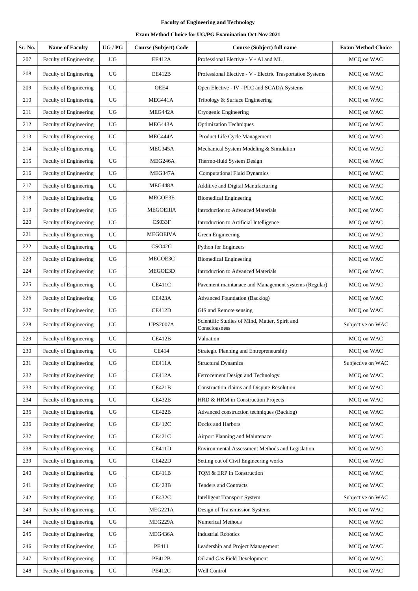| Sr. No. | <b>Name of Faculty</b>        | $UG/PG$          | <b>Course (Subject) Code</b> | Course (Subject) full name                                      | <b>Exam Method Choice</b> |
|---------|-------------------------------|------------------|------------------------------|-----------------------------------------------------------------|---------------------------|
| 207     | Faculty of Engineering        | UG               | <b>EE412A</b>                | Professional Elective - V - AI and ML                           | MCQ on WAC                |
| 208     | Faculty of Engineering        | UG               | EE412B                       | Professional Elective - V - Electric Trasportation Systems      | MCQ on WAC                |
| 209     | Faculty of Engineering        | UG               | OEE4                         | Open Elective - IV - PLC and SCADA Systems                      | MCQ on WAC                |
| 210     | Faculty of Engineering        | <b>UG</b>        | MEG441A                      | Tribology & Surface Engineering                                 | MCQ on WAC                |
| 211     | Faculty of Engineering        | UG               | MEG442A                      | Cryogenic Engineering                                           | MCQ on WAC                |
| 212     | Faculty of Engineering        | <b>UG</b>        | MEG443A                      | <b>Optimization Techniques</b>                                  | MCQ on WAC                |
| 213     | Faculty of Engineering        | $_{\rm UG}$      | MEG444A                      | Product Life Cycle Management                                   | MCQ on WAC                |
| 214     | Faculty of Engineering        | $_{\rm UG}$      | MEG345A                      | Mechanical System Modeling & Simulation                         | MCQ on WAC                |
| 215     | Faculty of Engineering        | $_{\rm UG}$      | MEG246A                      | Thermo-fluid System Design                                      | MCQ on WAC                |
| 216     | Faculty of Engineering        | $_{\rm UG}$      | MEG347A                      | <b>Computational Fluid Dynamics</b>                             | MCQ on WAC                |
| 217     | <b>Faculty of Engineering</b> | UG               | MEG448A                      | Additive and Digital Manufacturing                              | MCQ on WAC                |
| 218     | Faculty of Engineering        | UG               | MEGOE3E                      | <b>Biomedical Engineering</b>                                   | MCQ on WAC                |
| 219     | Faculty of Engineering        | UG               | <b>MEGOEIIIA</b>             | <b>Introduction to Advanced Materials</b>                       | MCQ on WAC                |
| 220     | Faculty of Engineering        | $_{\rm UG}$      | CS033F                       | Introduction to Artificial Intelligence                         | MCQ on WAC                |
| 221     | Faculty of Engineering        | <b>UG</b>        | <b>MEGOEIVA</b>              | Green Engineering                                               | MCQ on WAC                |
| 222     | Faculty of Engineering        | UG               | CSO42G                       | Python for Engineers                                            | MCQ on WAC                |
| 223     | Faculty of Engineering        | <b>UG</b>        | MEGOE3C                      | <b>Biomedical Engineering</b>                                   | MCQ on WAC                |
| 224     | Faculty of Engineering        | $_{\rm UG}$      | MEGOE3D                      | <b>Introduction to Advanced Materials</b>                       | MCQ on WAC                |
| 225     | Faculty of Engineering        | UG               | CE411C                       | Pavement maintanace and Management systems (Regular)            | MCQ on WAC                |
| 226     | Faculty of Engineering        | ${\rm U}{\rm G}$ | CE423A                       | <b>Advanced Foundation (Backlog)</b>                            | MCQ on WAC                |
| 227     | Faculty of Engineering        | <b>UG</b>        | CE412D                       | GIS and Remote sensing                                          | MCQ on WAC                |
| 228     | Faculty of Engineering        | UG               | <b>UPS2007A</b>              | Scientific Studies of Mind, Matter, Spirit and<br>Consciousness | Subjective on WAC         |
| 229     | Faculty of Engineering        | $_{\rm UG}$      | CE412B                       | Valuation                                                       | MCQ on WAC                |
| 230     | Faculty of Engineering        | $_{\rm UG}$      | <b>CE414</b>                 | Strategic Planning and Entrepreneurship                         | MCQ on WAC                |
| 231     | Faculty of Engineering        | $_{\rm UG}$      | <b>CE411A</b>                | <b>Structural Dynamics</b>                                      | Subjective on WAC         |
| 232     | Faculty of Engineering        | $_{\rm UG}$      | <b>CE412A</b>                | Ferrocement Design and Technology                               | MCQ on WAC                |
| 233     | <b>Faculty of Engineering</b> | $_{\rm UG}$      | CE421B                       | Construction claims and Dispute Resolution                      | MCQ on WAC                |
| 234     | Faculty of Engineering        | $_{\rm UG}$      | CE432B                       | HRD & HRM in Construction Projects                              | MCQ on WAC                |
| 235     | Faculty of Engineering        | $_{\rm UG}$      | CE422B                       | Advanced construction techniques (Backlog)                      | MCQ on WAC                |
| 236     | Faculty of Engineering        | ${\rm U}{\rm G}$ | CE412C                       | Docks and Harbors                                               | MCQ on WAC                |
| 237     | Faculty of Engineering        | <b>UG</b>        | <b>CE421C</b>                | Airport Planning and Maintenace                                 | MCQ on WAC                |
| 238     | Faculty of Engineering        | ${\rm U}{\rm G}$ | <b>CE411D</b>                | Environmental Assessment Methods and Legislation                | MCQ on WAC                |
| 239     | Faculty of Engineering        | $_{\rm UG}$      | CE422D                       | Setting out of Civil Engineering works                          | MCQ on WAC                |
| 240     | Faculty of Engineering        | $_{\rm UG}$      | CE411B                       | TQM & ERP in Construction                                       | MCQ on WAC                |
| 241     | Faculty of Engineering        | $_{\rm UG}$      | CE423B                       | <b>Tenders and Contracts</b>                                    | MCQ on WAC                |
| 242     | Faculty of Engineering        | $_{\rm UG}$      | CE432C                       | <b>Intelligent Transport System</b>                             | Subjective on WAC         |
| 243     | Faculty of Engineering        | $_{\rm UG}$      | MEG221A                      | Design of Transmission Systems                                  | MCQ on WAC                |
| 244     | Faculty of Engineering        | $_{\rm UG}$      | MEG229A                      | Numerical Methods                                               | MCQ on WAC                |
| 245     | Faculty of Engineering        | $_{\rm UG}$      | MEG436A                      | <b>Industrial Robotics</b>                                      | MCQ on WAC                |
| 246     | Faculty of Engineering        | ${\rm U}{\rm G}$ | PE411                        | Leadership and Project Management                               | MCQ on WAC                |
| 247     | Faculty of Engineering        | UG               | PE412B                       | Oil and Gas Field Development                                   | MCQ on WAC                |
| 248     | Faculty of Engineering        | ${\rm U}{\rm G}$ | PE412C                       | Well Control                                                    | MCQ on WAC                |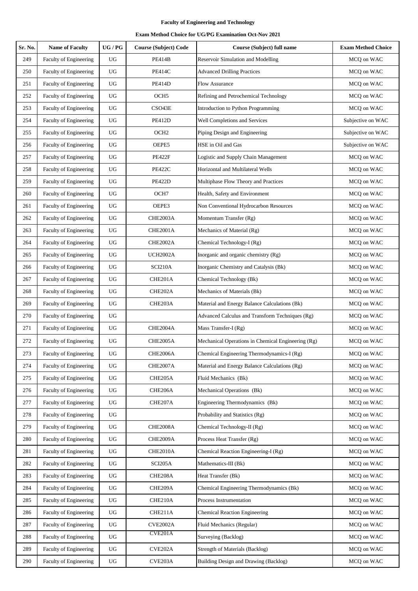| Sr. No. | <b>Name of Faculty</b>        | UG/PG            | <b>Course (Subject) Code</b> | Course (Subject) full name                         | <b>Exam Method Choice</b> |
|---------|-------------------------------|------------------|------------------------------|----------------------------------------------------|---------------------------|
| 249     | Faculty of Engineering        | UG               | <b>PE414B</b>                | Reservoir Simulation and Modelling                 | MCQ on WAC                |
| 250     | Faculty of Engineering        | UG               | <b>PE414C</b>                | <b>Advanced Drilling Practices</b>                 | MCQ on WAC                |
| 251     | Faculty of Engineering        | UG               | <b>PE414D</b>                | Flow Assurance                                     | MCQ on WAC                |
| 252     | Faculty of Engineering        | UG               | OCH <sub>5</sub>             | Refining and Petrochemical Technology              | MCQ on WAC                |
| 253     | Faculty of Engineering        | UG               | CSO43E                       | Introduction to Python Programming                 | MCQ on WAC                |
| 254     | <b>Faculty of Engineering</b> | ${\rm U}{\rm G}$ | PE412D                       | Well Completions and Services                      | Subjective on WAC         |
| 255     | Faculty of Engineering        | UG               | OCH <sub>2</sub>             | Piping Design and Engineering                      | Subjective on WAC         |
| 256     | Faculty of Engineering        | UG               | OEPE5                        | HSE in Oil and Gas                                 | Subjective on WAC         |
| 257     | Faculty of Engineering        | UG               | <b>PE422F</b>                | Logistic and Supply Chain Management               | MCQ on WAC                |
| 258     | Faculty of Engineering        | UG               | <b>PE422C</b>                | Horizontal and Multilateral Wells                  | MCQ on WAC                |
| 259     | <b>Faculty of Engineering</b> | UG               | <b>PE422D</b>                | Multiphase Flow Theory and Practices               | MCQ on WAC                |
| 260     | Faculty of Engineering        | UG               | OCH7                         | Health, Safety and Environment                     | MCQ on WAC                |
| 261     | <b>Faculty of Engineering</b> | UG               | OEPE3                        | Non Conventional Hydrocarbon Resources             | MCQ on WAC                |
| 262     | Faculty of Engineering        | UG               | <b>CHE2003A</b>              | Momentum Transfer (Rg)                             | MCQ on WAC                |
| 263     | Faculty of Engineering        | UG               | <b>CHE2001A</b>              | Mechanics of Material (Rg)                         | MCQ on WAC                |
| 264     | Faculty of Engineering        | UG               | <b>CHE2002A</b>              | Chemical Technology-I (Rg)                         | MCQ on WAC                |
| 265     | Faculty of Engineering        | UG               | <b>UCH2002A</b>              | Inorganic and organic chemistry (Rg)               | MCQ on WAC                |
| 266     | Faculty of Engineering        | <b>UG</b>        | SCI210A                      | Inorganic Chemistry and Catalysis (Bk)             | MCQ on WAC                |
| 267     | Faculty of Engineering        | UG               | CHE201A                      | Chemical Technology (Bk)                           | MCQ on WAC                |
| 268     | Faculty of Engineering        | UG               | CHE202A                      | Mechanics of Materials (Bk)                        | MCQ on WAC                |
| 269     | Faculty of Engineering        | UG               | CHE203A                      | Material and Energy Balance Calculations (Bk)      | MCQ on WAC                |
| 270     | Faculty of Engineering        | UG               |                              | Advanced Calculus and Transform Techniques (Rg)    | MCQ on WAC                |
| 271     | Faculty of Engineering        | UG               | CHE2004A                     | Mass Transfer-I (Rg)                               | MCQ on WAC                |
| 272     | Faculty of Engineering        | UG               | <b>CHE2005A</b>              | Mechanical Operations in Chemical Engineering (Rg) | MCQ on WAC                |
| 273     | <b>Faculty of Engineering</b> | UG               | <b>CHE2006A</b>              | Chemical Engineering Thermodynamics-I (Rg)         | MCO on WAC                |
| 274     | <b>Faculty of Engineering</b> | UG               | <b>CHE2007A</b>              | Material and Energy Balance Calculations (Rg)      | MCQ on WAC                |
| 275     | Faculty of Engineering        | UG               | CHE205A                      | Fluid Mechanics (Bk)                               | MCQ on WAC                |
| 276     | <b>Faculty of Engineering</b> | UG               | CHE206A                      | Mechanical Operations (Bk)                         | MCO on WAC                |
| 277     | Faculty of Engineering        | UG               | CHE207A                      | Engineering Thermodynamics (Bk)                    | MCQ on WAC                |
| 278     | Faculty of Engineering        | UG               |                              | Probability and Statistics (Rg)                    | MCQ on WAC                |
| 279     | Faculty of Engineering        | UG               | <b>CHE2008A</b>              | Chemical Technology-II (Rg)                        | MCO on WAC                |
| 280     | Faculty of Engineering        | UG               | <b>CHE2009A</b>              | Process Heat Transfer (Rg)                         | MCQ on WAC                |
| 281     | Faculty of Engineering        | UG               | <b>CHE2010A</b>              | Chemical Reaction Engineering-I (Rg)               | MCQ on WAC                |
| 282     | Faculty of Engineering        | UG               | SCI205A                      | Mathematics-III (Bk)                               | MCQ on WAC                |
| 283     | <b>Faculty of Engineering</b> | UG               | CHE208A                      | Heat Transfer (Bk)                                 | MCQ on WAC                |
| 284     | Faculty of Engineering        | UG               | CHE209A                      | Chemical Engineering Thermodynamics (Bk)           | MCQ on WAC                |
| 285     | Faculty of Engineering        | UG               | CHE210A                      | Process Instrumentation                            | MCQ on WAC                |
| 286     | Faculty of Engineering        | UG               | CHE211A                      | <b>Chemical Reaction Engineering</b>               | MCQ on WAC                |
| 287     | Faculty of Engineering        | UG               | <b>CVE2002A</b>              | Fluid Mechanics (Regular)                          | MCQ on WAC                |
| 288     | Faculty of Engineering        | UG               | CVE201A                      | Surveying (Backlog)                                | MCQ on WAC                |
| 289     | Faculty of Engineering        | UG               | CVE202A                      | Strength of Materials (Backlog)                    | MCQ on WAC                |
| 290     | Faculty of Engineering        | UG               | CVE203A                      | Building Design and Drawing (Backlog)              | MCQ on WAC                |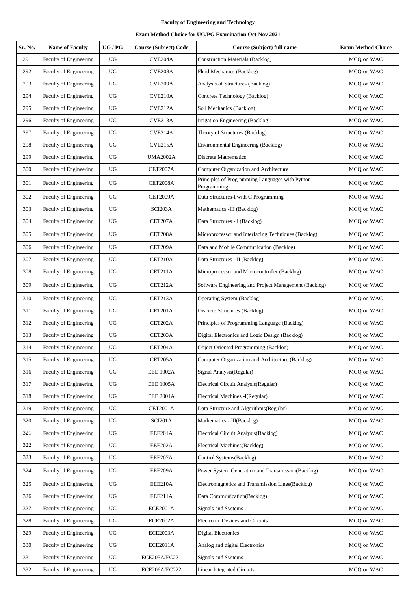| Sr. No. | <b>Name of Faculty</b>        | UG/PG            | <b>Course (Subject) Code</b> | Course (Subject) full name                                     | <b>Exam Method Choice</b> |
|---------|-------------------------------|------------------|------------------------------|----------------------------------------------------------------|---------------------------|
| 291     | Faculty of Engineering        | UG               | CVE204A                      | Construction Materials (Backlog)                               | MCQ on WAC                |
| 292     | Faculty of Engineering        | UG               | CVE <sub>208</sub> A         | Fluid Mechanics (Backlog)                                      | MCQ on WAC                |
| 293     | Faculty of Engineering        | UG               | CVE <sub>209</sub> A         | Analysis of Structures (Backlog)                               | MCQ on WAC                |
| 294     | Faculty of Engineering        | UG               | CVE210A                      | Concrete Technology (Backlog)                                  | MCQ on WAC                |
| 295     | Faculty of Engineering        | UG               | CVE212A                      | Soil Mechanics (Backlog)                                       | MCQ on WAC                |
| 296     | Faculty of Engineering        | UG               | CVE213A                      | Irrigation Engineering (Backlog)                               | MCQ on WAC                |
| 297     | Faculty of Engineering        | UG               | CVE214A                      | Theory of Structures (Backlog)                                 | MCQ on WAC                |
| 298     | Faculty of Engineering        | UG               | CVE215A                      | Environmental Engineering (Backlog)                            | MCQ on WAC                |
| 299     | Faculty of Engineering        | UG               | <b>UMA2002A</b>              | <b>Discrete Mathematics</b>                                    | MCQ on WAC                |
| 300     | <b>Faculty of Engineering</b> | UG               | <b>CET2007A</b>              | Computer Organization and Architecture                         | MCQ on WAC                |
| 301     | Faculty of Engineering        | UG               | <b>CET2008A</b>              | Principles of Programming Languages with Python<br>Programming | MCQ on WAC                |
| 302     | Faculty of Engineering        | UG               | <b>CET2009A</b>              | Data Structures-I with C Programming                           | MCO on WAC                |
| 303     | Faculty of Engineering        | UG               | SCI203A                      | Mathematics -III (Backlog)                                     | MCQ on WAC                |
| 304     | Faculty of Engineering        | UG               | CET207A                      | Data Structures - I (Backlog)                                  | MCQ on WAC                |
| 305     | Faculty of Engineering        | UG               | CET208A                      | Microprocessor and Interfacing Techniques (Backlog)            | MCQ on WAC                |
| 306     | Faculty of Engineering        | <b>UG</b>        | CET209A                      | Data and Mobile Communication (Backlog)                        | MCQ on WAC                |
| 307     | Faculty of Engineering        | UG               | CET210A                      | Data Structures - II (Backlog)                                 | MCQ on WAC                |
| 308     | Faculty of Engineering        | UG               | CET211A                      | Microprocessor and Microcontroller (Backlog)                   | MCQ on WAC                |
| 309     | Faculty of Engineering        | UG               | CET212A                      | Software Engineering and Project Management (Backlog)          | MCQ on WAC                |
| 310     | Faculty of Engineering        | ${\rm U}{\rm G}$ | CET213A                      | Operating System (Backlog)                                     | MCQ on WAC                |
| 311     | Faculty of Engineering        | UG               | CET201A                      | Discrete Structures (Backlog)                                  | MCQ on WAC                |
| 312     | Faculty of Engineering        | UG               | CET202A                      | Principles of Programming Language (Backlog)                   | MCQ on WAC                |
| 313     | Faculty of Engineering        | UG               | CET203A                      | Digital Electronics and Logic Design (Backlog)                 | MCQ on WAC                |
| 314     | Faculty of Engineering        | UG               | CET204A                      | <b>Object Oriented Programming (Backlog)</b>                   | MCQ on WAC                |
| 315     | Faculty of Engineering        | UG               | CET205A                      | Computer Organization and Architecture (Backlog)               | MCQ on WAC                |
| 316     | Faculty of Engineering        | UG               | <b>EEE 1002A</b>             | Signal Analysis(Regular)                                       | MCQ on WAC                |
| 317     | <b>Faculty of Engineering</b> | UG               | <b>EEE 1005A</b>             | Electrical Circuit Analysis(Regular)                           | MCQ on WAC                |
| 318     | <b>Faculty of Engineering</b> | UG               | <b>EEE 2001A</b>             | Electrical Machines -I(Regular)                                | MCQ on WAC                |
| 319     | Faculty of Engineering        | UG               | <b>CET2001A</b>              | Data Structure and Algorithms(Regular)                         | MCQ on WAC                |
| 320     | Faculty of Engineering        | UG               | <b>SCI201A</b>               | Mathematics - III(Backlog)                                     | MCQ on WAC                |
| 321     | <b>Faculty of Engineering</b> | UG               | EEE201A                      | Electrical Circuit Analysis(Backlog)                           | MCQ on WAC                |
| 322     | Faculty of Engineering        | UG               | EEE202A                      | Electrical Machines(Backlog)                                   | MCQ on WAC                |
| 323     | Faculty of Engineering        | UG               | EEE207A                      | Control Systems(Backlog)                                       | MCQ on WAC                |
| 324     | Faculty of Engineering        | UG               | EEE209A                      | Power System Generation and Transmission(Backlog)              | MCQ on WAC                |
| 325     | Faculty of Engineering        | UG               | EEE210A                      | Electromagnetics and Transmission Lines(Backlog)               | MCQ on WAC                |
| 326     | Faculty of Engineering        | ${\rm U}{\rm G}$ | EEE211A                      | Data Communication(Backlog)                                    | MCQ on WAC                |
| 327     | Faculty of Engineering        | UG               | <b>ECE2001A</b>              | Signals and Systems                                            | MCQ on WAC                |
| 328     | <b>Faculty of Engineering</b> | UG               | <b>ECE2002A</b>              | Electronic Devices and Circuits                                | MCQ on WAC                |
| 329     | Faculty of Engineering        | UG               | ECE2003A                     | <b>Digital Electronics</b>                                     | MCQ on WAC                |
| 330     | Faculty of Engineering        | UG               | <b>ECE2011A</b>              | Analog and digital Electronics                                 | MCQ on WAC                |
| 331     | Faculty of Engineering        | UG               | ECE205A/EC221                | Signals and Systems                                            | MCQ on WAC                |
| 332     | Faculty of Engineering        | $_{\rm UG}$      | ECE206A/EC222                | <b>Linear Integrated Circuits</b>                              | MCQ on WAC                |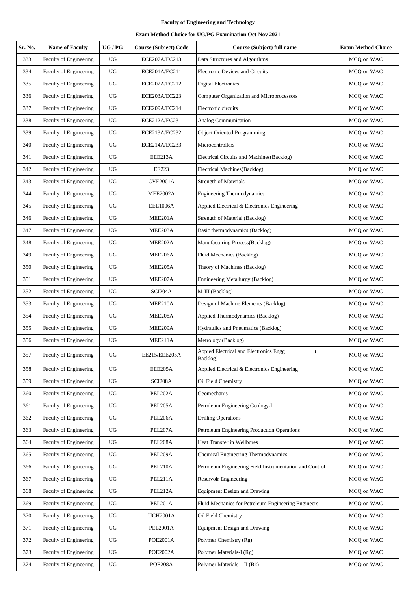| Sr. No. | <b>Name of Faculty</b>        | UG/PG | <b>Course (Subject) Code</b> | Course (Subject) full name                              | <b>Exam Method Choice</b> |
|---------|-------------------------------|-------|------------------------------|---------------------------------------------------------|---------------------------|
| 333     | Faculty of Engineering        | UG    | ECE207A/EC213                | Data Structures and Algorithms                          | MCQ on WAC                |
| 334     | Faculty of Engineering        | UG    | ECE201A/EC211                | <b>Electronic Devices and Circuits</b>                  | MCQ on WAC                |
| 335     | Faculty of Engineering        | UG    | ECE202A/EC212                | <b>Digital Electronics</b>                              | MCQ on WAC                |
| 336     | Faculty of Engineering        | UG    | ECE203A/EC223                | Computer Organization and Microprocessors               | MCQ on WAC                |
| 337     | Faculty of Engineering        | UG    | ECE209A/EC214                | Electronic circuits                                     | MCQ on WAC                |
| 338     | Faculty of Engineering        | UG    | ECE212A/EC231                | Analog Communication                                    | MCQ on WAC                |
| 339     | Faculty of Engineering        | UG    | ECE213A/EC232                | <b>Object Oriented Programming</b>                      | MCQ on WAC                |
| 340     | Faculty of Engineering        | UG    | ECE214A/EC233                | Microcontrollers                                        | MCQ on WAC                |
| 341     | Faculty of Engineering        | UG    | EEE213A                      | Electrical Circuits and Machines(Backlog)               | MCQ on WAC                |
| 342     | <b>Faculty of Engineering</b> | UG    | EE223                        | Electrical Machines(Backlog)                            | MCQ on WAC                |
| 343     | <b>Faculty of Engineering</b> | UG    | <b>CVE2001A</b>              | <b>Strength of Materials</b>                            | MCQ on WAC                |
| 344     | Faculty of Engineering        | UG    | MEE2002A                     | <b>Engineering Thermodynamics</b>                       | MCQ on WAC                |
| 345     | Faculty of Engineering        | UG    | <b>EEE1006A</b>              | Applied Electrical & Electronics Engineering            | MCQ on WAC                |
| 346     | Faculty of Engineering        | UG    | MEE201A                      | Strength of Material (Backlog)                          | MCQ on WAC                |
| 347     | Faculty of Engineering        | UG    | MEE203A                      | Basic thermodynamics (Backlog)                          | MCQ on WAC                |
| 348     | Faculty of Engineering        | UG    | MEE202A                      | Manufacturing Process(Backlog)                          | MCQ on WAC                |
| 349     | Faculty of Engineering        | UG    | MEE206A                      | Fluid Mechanics (Backlog)                               | MCQ on WAC                |
| 350     | Faculty of Engineering        | UG    | MEE205A                      | Theory of Machines (Backlog)                            | MCQ on WAC                |
| 351     | Faculty of Engineering        | UG    | MEE207A                      | Engineering Metallurgy (Backlog)                        | MCQ on WAC                |
| 352     | Faculty of Engineering        | UG    | SCI204A                      | M-III (Backlog)                                         | MCQ on WAC                |
| 353     | Faculty of Engineering        | UG    | MEE210A                      | Design of Machine Elements (Backlog)                    | MCQ on WAC                |
| 354     | Faculty of Engineering        | UG    | MEE208A                      | Applied Thermodynamics (Backlog)                        | MCQ on WAC                |
| 355     | Faculty of Engineering        | UG    | MEE209A                      | Hydraulics and Pneumatics (Backlog)                     | MCO on WAC                |
| 356     | Faculty of Engineering        | UG    | MEE211A                      | Metrology (Backlog)                                     | MCQ on WAC                |
| 357     | Faculty of Engineering        | UG    | EE215/EEE205A                | Appied Electrical and Electronics Engg<br>Backlog)      | MCQ on WAC                |
| 358     | Faculty of Engineering        | UG    | EEE205A                      | Applied Electrical & Electronics Engineering            | MCO on WAC                |
| 359     | Faculty of Engineering        | UG    | SCI208A                      | Oil Field Chemistry                                     | MCQ on WAC                |
| 360     | Faculty of Engineering        | UG    | PEL202A                      | Geomechanis                                             | MCQ on WAC                |
| 361     | <b>Faculty of Engineering</b> | UG    | PEL205A                      | Petroleum Engineering Geology-I                         | MCQ on WAC                |
| 362     | Faculty of Engineering        | UG    | PEL206A                      | <b>Drilling Operations</b>                              | MCQ on WAC                |
| 363     | <b>Faculty of Engineering</b> | UG    | PEL207A                      | Petroleum Engineering Production Operations             | MCQ on WAC                |
| 364     | Faculty of Engineering        | UG    | PEL208A                      | Heat Transfer in Wellbores                              | MCQ on WAC                |
| 365     | Faculty of Engineering        | UG    | PEL209A                      | Chemical Engineering Thermodynamics                     | MCQ on WAC                |
| 366     | Faculty of Engineering        | UG    | PEL210A                      | Petroleum Engineering Field Instrumentation and Control | MCQ on WAC                |
| 367     | Faculty of Engineering        | UG    | PEL211A                      | Reservoir Engineering                                   | MCQ on WAC                |
| 368     | Faculty of Engineering        | UG    | PEL212A                      | <b>Equipment Design and Drawing</b>                     | MCQ on WAC                |
| 369     | Faculty of Engineering        | UG    | PEL201A                      | Fluid Mechanics for Petroleum Engineering Engineers     | MCQ on WAC                |
| 370     | Faculty of Engineering        | UG    | <b>UCH2001A</b>              | Oil Field Chemistry                                     | MCQ on WAC                |
| 371     | Faculty of Engineering        | UG    | <b>PEL2001A</b>              | <b>Equipment Design and Drawing</b>                     | MCQ on WAC                |
| 372     | Faculty of Engineering        | UG    | <b>POE2001A</b>              | Polymer Chemistry (Rg)                                  | MCQ on WAC                |
| 373     | <b>Faculty of Engineering</b> | UG    | <b>POE2002A</b>              | Polymer Materials-I (Rg)                                | MCQ on WAC                |
| 374     | Faculty of Engineering        | UG    | POE208A                      | Polymer Materials - II (Bk)                             | MCQ on WAC                |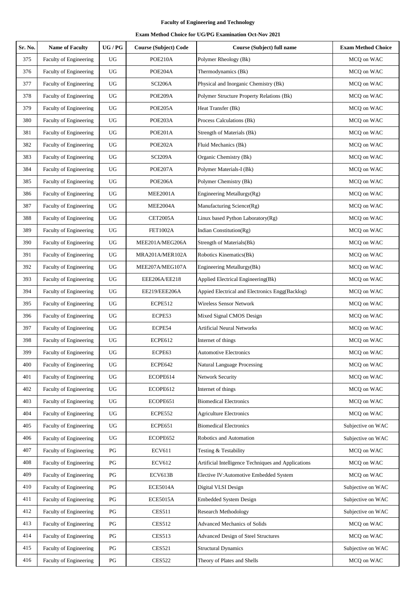| Sr. No. | <b>Name of Faculty</b>        | UG/PG                  | <b>Course (Subject) Code</b> | Course (Subject) full name                          | <b>Exam Method Choice</b> |
|---------|-------------------------------|------------------------|------------------------------|-----------------------------------------------------|---------------------------|
| 375     | Faculty of Engineering        | UG                     | POE210A                      | Polymer Rheology (Bk)                               | MCQ on WAC                |
| 376     | Faculty of Engineering        | UG                     | POE204A                      | Thermodynamics (Bk)                                 | MCQ on WAC                |
| 377     | Faculty of Engineering        | UG                     | SCI206A                      | Physical and Inorganic Chemistry (Bk)               | MCQ on WAC                |
| 378     | Faculty of Engineering        | UG                     | POE209A                      | Polymer Structure Property Relations (Bk)           | MCQ on WAC                |
| 379     | Faculty of Engineering        | UG                     | POE205A                      | Heat Transfer (Bk)                                  | MCQ on WAC                |
| 380     | Faculty of Engineering        | UG                     | POE203A                      | Process Calculations (Bk)                           | MCO on WAC                |
| 381     | Faculty of Engineering        | <b>UG</b>              | POE201A                      | Strength of Materials (Bk)                          | MCQ on WAC                |
| 382     | Faculty of Engineering        | $_{\rm UG}$            | POE202A                      | Fluid Mechanics (Bk)                                | MCQ on WAC                |
| 383     | Faculty of Engineering        | UG                     | SCI209A                      | Organic Chemistry (Bk)                              | MCQ on WAC                |
| 384     | Faculty of Engineering        | UG                     | POE207A                      | Polymer Materials-I (Bk)                            | MCQ on WAC                |
| 385     | Faculty of Engineering        | UG                     | POE206A                      | Polymer Chemistry (Bk)                              | MCQ on WAC                |
| 386     | Faculty of Engineering        | UG                     | <b>MEE2001A</b>              | Engineering Metallurgy(Rg)                          | MCQ on WAC                |
| 387     | Faculty of Engineering        | UG                     | <b>MEE2004A</b>              | Manufacturing Science(Rg)                           | MCQ on WAC                |
| 388     | Faculty of Engineering        | UG                     | <b>CET2005A</b>              | Linux based Python Laboratory(Rg)                   | MCQ on WAC                |
| 389     | Faculty of Engineering        | UG                     | <b>FET1002A</b>              | Indian Constitution(Rg)                             | MCQ on WAC                |
| 390     | Faculty of Engineering        | UG                     | MEE201A/MEG206A              | Strength of Materials(Bk)                           | MCQ on WAC                |
| 391     | Faculty of Engineering        | UG                     | MRA201A/MER102A              | Robotics Kinematics(Bk)                             | MCQ on WAC                |
| 392     | Faculty of Engineering        | UG                     | MEE207A/MEG107A              | Engineering Metallurgy(Bk)                          | MCQ on WAC                |
| 393     | Faculty of Engineering        | UG                     | EEE206A/EE218                | Applied Electrical Engineering(Bk)                  | MCQ on WAC                |
| 394     | Faculty of Engineering        | UG                     | EE219/EEE206A                | Appied Electrical and Electronics Engg(Backlog)     | MCQ on WAC                |
| 395     | Faculty of Engineering        | UG                     | ECPE512                      | Wireless Sensor Network                             | MCQ on WAC                |
| 396     | Faculty of Engineering        | UG                     | ECPE53                       | Mixed Signal CMOS Design                            | MCQ on WAC                |
| 397     | Faculty of Engineering        | UG                     | ECPE54                       | <b>Artificial Neural Networks</b>                   | MCQ on WAC                |
| 398     | Faculty of Engineering        | UG                     | ECPE612                      | Internet of things                                  | MCQ on WAC                |
| 399     | <b>Faculty of Engineering</b> | UG                     | ECPE63                       | <b>Automotive Electronics</b>                       | MCQ on WAC                |
| 400     | Faculty of Engineering        | UG                     | ECPE642                      | <b>Natural Language Processing</b>                  | MCQ on WAC                |
| 401     | Faculty of Engineering        | UG                     | ECOPE614                     | Network Security                                    | MCQ on WAC                |
| 402     | Faculty of Engineering        | UG                     | ECOPE612                     | Internet of things                                  | MCQ on WAC                |
| 403     | Faculty of Engineering        | UG                     | ECOPE651                     | <b>Biomedical Electronics</b>                       | MCQ on WAC                |
| 404     | Faculty of Engineering        | UG                     | ECPE552                      | <b>Agriculture Electronics</b>                      | MCQ on WAC                |
| 405     | Faculty of Engineering        | UG                     | ECPE651                      | <b>Biomedical Electronics</b>                       | Subjective on WAC         |
| 406     | Faculty of Engineering        | UG                     | ECOPE652                     | Robotics and Automation                             | Subjective on WAC         |
| 407     | Faculty of Engineering        | PG                     | <b>ECV611</b>                | Testing & Testability                               | MCQ on WAC                |
| 408     | <b>Faculty of Engineering</b> | PG                     | <b>ECV612</b>                | Artificial Intelligence Techniques and Applications | MCQ on WAC                |
| 409     | Faculty of Engineering        | PG                     | ECV613B                      | Elective IV: Automotive Embedded System             | MCQ on WAC                |
| 410     | Faculty of Engineering        | PG                     | <b>ECE5014A</b>              | Digital VLSI Design                                 | Subjective on WAC         |
| 411     | Faculty of Engineering        | PG                     | <b>ECE5015A</b>              | <b>Embedded System Design</b>                       | Subjective on WAC         |
| 412     | Faculty of Engineering        | PG                     | <b>CES511</b>                | <b>Research Methodology</b>                         | Subjective on WAC         |
| 413     | Faculty of Engineering        | PG                     | <b>CES512</b>                | <b>Advanced Mechanics of Solids</b>                 | MCQ on WAC                |
| 414     | Faculty of Engineering        | PG                     | <b>CES513</b>                | Advanced Design of Steel Structures                 | MCQ on WAC                |
| 415     | Faculty of Engineering        | PG                     | <b>CES521</b>                | <b>Structural Dynamics</b>                          | Subjective on WAC         |
| 416     | Faculty of Engineering        | $\mathbf{P}\mathbf{G}$ | <b>CES522</b>                | Theory of Plates and Shells                         | MCQ on WAC                |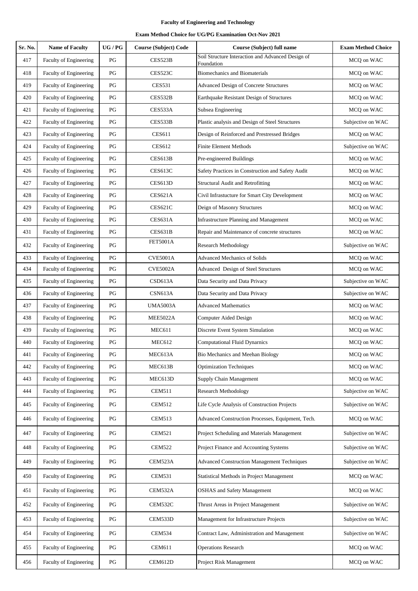| Sr. No. | <b>Name of Faculty</b>        | UG / PG                | <b>Course (Subject) Code</b> | <b>Course (Subject) full name</b>                               | <b>Exam Method Choice</b> |
|---------|-------------------------------|------------------------|------------------------------|-----------------------------------------------------------------|---------------------------|
| 417     | Faculty of Engineering        | PG                     | CES523B                      | Soil Structure Interaction and Advanced Design of<br>Foundation | MCQ on WAC                |
| 418     | Faculty of Engineering        | PG                     | CES523C                      | <b>Biomechanics and Biomaterials</b>                            | MCQ on WAC                |
| 419     | Faculty of Engineering        | PG                     | <b>CES531</b>                | <b>Advanced Design of Concrete Structures</b>                   | MCQ on WAC                |
| 420     | Faculty of Engineering        | PG                     | CES532B                      | Earthquake Resistant Design of Structures                       | MCQ on WAC                |
| 421     | Faculty of Engineering        | PG                     | CES533A                      | Subsea Engineering                                              | MCQ on WAC                |
| 422     | Faculty of Engineering        | PG                     | CES533B                      | Plastic analysis and Design of Steel Structures                 | Subjective on WAC         |
| 423     | Faculty of Engineering        | PG                     | <b>CES611</b>                | Design of Reinforced and Prestressed Bridges                    | MCQ on WAC                |
| 424     | Faculty of Engineering        | PG                     | <b>CES612</b>                | <b>Finite Element Methods</b>                                   | Subjective on WAC         |
| 425     | Faculty of Engineering        | PG                     | CES613B                      | Pre-engineered Buildings                                        | MCQ on WAC                |
| 426     | Faculty of Engineering        | PG                     | CES613C                      | Safety Practices in Construction and Safety Audit               | MCQ on WAC                |
| 427     | Faculty of Engineering        | PG                     | CES613D                      | Structural Audit and Retrofitting                               | MCQ on WAC                |
| 428     | Faculty of Engineering        | PG                     | <b>CES621A</b>               | Civil Infrastucture for Smart City Development                  | MCQ on WAC                |
| 429     | <b>Faculty of Engineering</b> | PG                     | CES621C                      | Deign of Masonry Structures                                     | MCQ on WAC                |
| 430     | Faculty of Engineering        | PG                     | <b>CES631A</b>               | <b>Infrastructure Planning and Management</b>                   | MCQ on WAC                |
| 431     | Faculty of Engineering        | PG                     | CES631B                      | Repair and Maintenance of concrete structures                   | MCQ on WAC                |
| 432     | <b>Faculty of Engineering</b> | PG                     | <b>FET5001A</b>              | <b>Research Methodology</b>                                     | Subjective on WAC         |
| 433     | Faculty of Engineering        | PG                     | <b>CVE5001A</b>              | <b>Advanced Mechanics of Solids</b>                             | MCQ on WAC                |
| 434     | Faculty of Engineering        | PG                     | <b>CVE5002A</b>              | Advanced Design of Steel Structures                             | MCQ on WAC                |
| 435     | Faculty of Engineering        | $\mathbf{P}\mathbf{G}$ | CSD613A                      | Data Security and Data Privacy                                  | Subjective on WAC         |
| 436     | Faculty of Engineering        | PG                     | CSN613A                      | Data Security and Data Privacy                                  | Subjective on WAC         |
| 437     | Faculty of Engineering        | PG                     | <b>UMA5003A</b>              | <b>Advanced Mathematics</b>                                     | MCQ on WAC                |
| 438     | Faculty of Engineering        | PG                     | <b>MEE5022A</b>              | Computer Aided Design                                           | MCQ on WAC                |
| 439     | Faculty of Engineering        | PG                     | <b>MEC611</b>                | Discrete Event System Simulation                                | MCQ on WAC                |
| 440     | Faculty of Engineering        | PG                     | MEC612                       | <b>Computational Fluid Dynamics</b>                             | MCQ on WAC                |
| 441     | <b>Faculty of Engineering</b> | PG                     | MEC613A                      | Bio Mechanics and Meehan Biology                                | MCQ on WAC                |
| 442     | Faculty of Engineering        | PG                     | MEC613B                      | <b>Optimization Techniques</b>                                  | MCQ on WAC                |
| 443     | Faculty of Engineering        | PG                     | MEC613D                      | Supply Chain Management                                         | MCQ on WAC                |
| 444     | Faculty of Engineering        | PG                     | <b>CEM511</b>                | Research Methodology                                            | Subjective on WAC         |
| 445     | Faculty of Engineering        | PG                     | <b>CEM512</b>                | Life Cycle Analysis of Construction Projects                    | Subjective on WAC         |
| 446     | Faculty of Engineering        | PG                     | <b>CEM513</b>                | Advanced Construction Processes, Equipment, Tech.               | MCQ on WAC                |
| 447     | Faculty of Engineering        | PG                     | <b>CEM521</b>                | Project Scheduling and Materials Management                     | Subjective on WAC         |
| 448     | <b>Faculty of Engineering</b> | PG                     | <b>CEM522</b>                | Project Finance and Accounting Systems                          | Subjective on WAC         |
| 449     | Faculty of Engineering        | PG                     | CEM523A                      | <b>Advanced Construction Management Techniques</b>              | Subjective on WAC         |
| 450     | Faculty of Engineering        | PG                     | <b>CEM531</b>                | Statistical Methods in Project Management                       | MCQ on WAC                |
| 451     | Faculty of Engineering        | PG                     | CEM532A                      | <b>OSHAS</b> and Safety Management                              | MCQ on WAC                |
| 452     | Faculty of Engineering        | PG                     | CEM532C                      | Thrust Areas in Project Management                              | Subjective on WAC         |
| 453     | Faculty of Engineering        | PG                     | CEM533D                      | Management for Infrastructure Projects                          | Subjective on WAC         |
| 454     | Faculty of Engineering        | PG                     | <b>CEM534</b>                | Contract Law, Administration and Management                     | Subjective on WAC         |
| 455     | Faculty of Engineering        | PG                     | <b>CEM611</b>                | <b>Operations Research</b>                                      | MCQ on WAC                |
| 456     | Faculty of Engineering        | $\mathbf{P}\mathbf{G}$ | CEM612D                      | Project Risk Management                                         | MCQ on WAC                |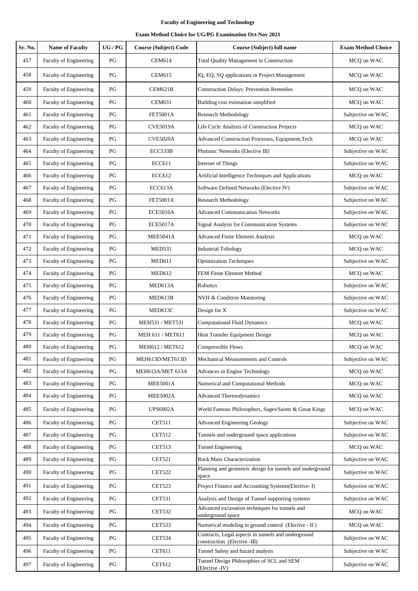| Sr. No. | <b>Name of Faculty</b>        | UG/PG                  | <b>Course (Subject) Code</b> | Course (Subject) full name                                                          | <b>Exam Method Choice</b> |
|---------|-------------------------------|------------------------|------------------------------|-------------------------------------------------------------------------------------|---------------------------|
| 457     | Faculty of Engineering        | PG                     | <b>CEM614</b>                | Total Quality Management in Construction                                            | MCQ on WAC                |
| 458     | Faculty of Engineering        | PG                     | <b>CEM615</b>                | IQ, EQ, SQ applications in Project Management                                       | MCQ on WAC                |
| 459     | Faculty of Engineering        | PG                     | CEM621B                      | <b>Construction Delays: Prevention Remedies</b>                                     | MCQ on WAC                |
| 460     | Faculty of Engineering        | PG                     | <b>CEM631</b>                | Building cost estimation simplified                                                 | MCQ on WAC                |
| 461     | <b>Faculty of Engineering</b> | PG                     | <b>FET5001A</b>              | <b>Research Methodology</b>                                                         | Subjective on WAC         |
| 462     | Faculty of Engineering        | PG                     | <b>CVE5019A</b>              | Life Cycle Analysis of Construction Projects                                        | MCQ on WAC                |
| 463     | Faculty of Engineering        | PG                     | <b>CVE5020A</b>              | Advanced Construction Processes, Equipment, Tech                                    | MCQ on WAC                |
| 464     | Faculty of Engineering        | PG                     | ECC533B                      | Photonic Networks (Elective III)                                                    | Subjective on WAC         |
| 465     | Faculty of Engineering        | $\mathbf{P}\mathbf{G}$ | <b>ECC611</b>                | Internet of Things                                                                  | Subjective on WAC         |
| 466     | Faculty of Engineering        | PG                     | <b>ECC612</b>                | Artificial Intelligence Techniques and Applications                                 | MCQ on WAC                |
| 467     | Faculty of Engineering        | $\mathbf{P}\mathbf{G}$ | ECC613A                      | Software Defined Networks (Elective IV)                                             | Subjective on WAC         |
| 468     | Faculty of Engineering        | PG                     | <b>FET5001A</b>              | Research Methodology                                                                | Subjective on WAC         |
| 469     | Faculty of Engineering        | PG                     | <b>ECE5016A</b>              | <b>Advanced Communication Networks</b>                                              | Subjective on WAC         |
| 470     | Faculty of Engineering        | PG                     | <b>ECE5017A</b>              | Signal Analysis for Communication Systems                                           | Subjective on WAC         |
| 471     | Faculty of Engineering        | PG                     | <b>MEE5041A</b>              | <b>Advanced Finite Element Analysis</b>                                             | MCO on WAC                |
| 472     | Faculty of Engineering        | PG                     | <b>MED531</b>                | <b>Industrial Tribology</b>                                                         | MCQ on WAC                |
| 473     | Faculty of Engineering        | PG                     | <b>MED611</b>                | <b>Optimization Techniques</b>                                                      | Subjective on WAC         |
| 474     | Faculty of Engineering        | PG                     | MED612                       | FEM Finite Element Method                                                           | MCQ on WAC                |
| 475     | Faculty of Engineering        | PG                     | MED613A                      | Robotics                                                                            | Subjective on WAC         |
| 476     | Faculty of Engineering        | PG                     | MED613B                      | NVH & Condition Monitoring                                                          | Subjective on WAC         |
| 477     | Faculty of Engineering        | $\mathbf{P}\mathbf{G}$ | MED613C                      | Design for X                                                                        | Subjective on WAC         |
| 478     | Faculty of Engineering        | PG                     | MEH531 / MET531              | <b>Computational Fluid Dynamics</b>                                                 | MCQ on WAC                |
| 479     | Faculty of Engineering        | PG                     | MEH 611 / MET611             | Heat Transfer Equipment Design                                                      | MCQ on WAC                |
| 480     | Faculty of Engineering        | $\mathbf{P}\mathbf{G}$ | MEH612 / MET612              | Compressible Flows                                                                  | MCQ on WAC                |
| 481     | Faculty of Engineering        | PG                     | MEH613D/MET613D              | Mechanical Measurements and Controls                                                | Subjective on WAC         |
| 482     | <b>Faculty of Engineering</b> | $\mathbf{P}\mathbf{G}$ | MEH613A/MET 613A             | Advances in Engine Technology                                                       | MCQ on WAC                |
| 483     | <b>Faculty of Engineering</b> | PG                     | <b>MEE5001A</b>              | Numerical and Computational Methods                                                 | MCQ on WAC                |
| 484     | Faculty of Engineering        | PG                     | <b>MEE5002A</b>              | Advanced Thermodynamics                                                             | MCQ on WAC                |
| 485     | Faculty of Engineering        | PG                     | <b>UPS6002A</b>              | World Famous Philosophers, Sages/Saints & Great Kings                               | MCQ on WAC                |
| 486     | <b>Faculty of Engineering</b> | PG                     | <b>CET511</b>                | <b>Advanced Engineering Geology</b>                                                 | Subjective on WAC         |
| 487     | <b>Faculty of Engineering</b> | PG                     | <b>CET512</b>                | Tunnels and underground space applications                                          | Subjective on WAC         |
| 488     | Faculty of Engineering        | $\mathbf{P}\mathbf{G}$ | <b>CET513</b>                | <b>Tunnel Engineering</b>                                                           | MCO on WAC                |
| 489     | Faculty of Engineering        | PG                     | <b>CET521</b>                | Rock Mass Characterization                                                          | Subjective on WAC         |
| 490     | <b>Faculty of Engineering</b> | PG                     | <b>CET522</b>                | Planning and geometric design for tunnels and underground<br>space                  | Subjective on WAC         |
| 491     | Faculty of Engineering        | PG                     | <b>CET523</b>                | Project Finance and Accounting Systems(Elective-I)                                  | Subjective on WAC         |
| 492     | Faculty of Engineering        | PG                     | <b>CET531</b>                | Analysis and Design of Tunnel supporting systems                                    | Subjective on WAC         |
| 493     | Faculty of Engineering        | PG                     | <b>CET532</b>                | Advanced excavation techniques for tunnels and<br>underground space                 | MCQ on WAC                |
| 494     | Faculty of Engineering        | PG                     | <b>CET533</b>                | Numerical modeling in ground control (Elective - II)                                | MCQ on WAC                |
| 495     | Faculty of Engineering        | PG                     | <b>CET534</b>                | Contracts, Legal aspects in tunnels and underground<br>construction (Elective -III) | Subjective on WAC         |
| 496     | Faculty of Engineering        | PG                     | CET611                       | Tunnel Safety and hazard analysis                                                   | Subjective on WAC         |
| 497     | Faculty of Engineering        | PG                     | CET612                       | Tunnel Design Philosophies of SCL and SEM<br>(Elective -IV)                         | Subjective on WAC         |